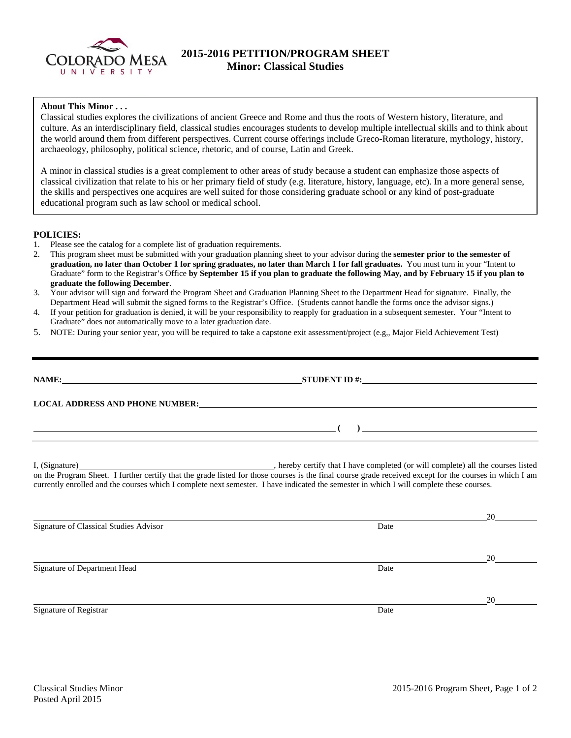

## **2015-2016 PETITION/PROGRAM SHEET Minor: Classical Studies**

## **About This Minor . . .**

Classical studies explores the civilizations of ancient Greece and Rome and thus the roots of Western history, literature, and culture. As an interdisciplinary field, classical studies encourages students to develop multiple intellectual skills and to think about the world around them from different perspectives. Current course offerings include Greco-Roman literature, mythology, history, archaeology, philosophy, political science, rhetoric, and of course, Latin and Greek.

A minor in classical studies is a great complement to other areas of study because a student can emphasize those aspects of classical civilization that relate to his or her primary field of study (e.g. literature, history, language, etc). In a more general sense, the skills and perspectives one acquires are well suited for those considering graduate school or any kind of post-graduate educational program such as law school or medical school.

## **POLICIES:**

- 1. Please see the catalog for a complete list of graduation requirements.
- 2. This program sheet must be submitted with your graduation planning sheet to your advisor during the **semester prior to the semester of graduation, no later than October 1 for spring graduates, no later than March 1 for fall graduates.** You must turn in your "Intent to Graduate" form to the Registrar's Office **by September 15 if you plan to graduate the following May, and by February 15 if you plan to graduate the following December**.
- 3. Your advisor will sign and forward the Program Sheet and Graduation Planning Sheet to the Department Head for signature. Finally, the Department Head will submit the signed forms to the Registrar's Office. (Students cannot handle the forms once the advisor signs.)
- 4. If your petition for graduation is denied, it will be your responsibility to reapply for graduation in a subsequent semester. Your "Intent to Graduate" does not automatically move to a later graduation date.
- 5. NOTE: During your senior year, you will be required to take a capstone exit assessment/project (e.g,, Major Field Achievement Test)

| NAME:                                  | $STUDENT ID \#$                                          |
|----------------------------------------|----------------------------------------------------------|
| <b>LOCAL ADDRESS AND PHONE NUMBER:</b> | <u> 1989 - John Stone, amerikansk politiker († 1989)</u> |
|                                        |                                                          |
|                                        |                                                          |

I, (Signature) **Source 2020** (Signature) **, hereby certify that I have completed** (or will complete) all the courses listed on the Program Sheet. I further certify that the grade listed for those courses is the final course grade received except for the courses in which I am currently enrolled and the courses which I complete next semester. I have indicated the semester in which I will complete these courses.

|                                        |      | 20 |
|----------------------------------------|------|----|
| Signature of Classical Studies Advisor | Date |    |
|                                        |      |    |
|                                        |      | 20 |
| Signature of Department Head           | Date |    |
|                                        |      |    |
|                                        |      | 20 |
| Signature of Registrar                 | Date |    |
|                                        |      |    |